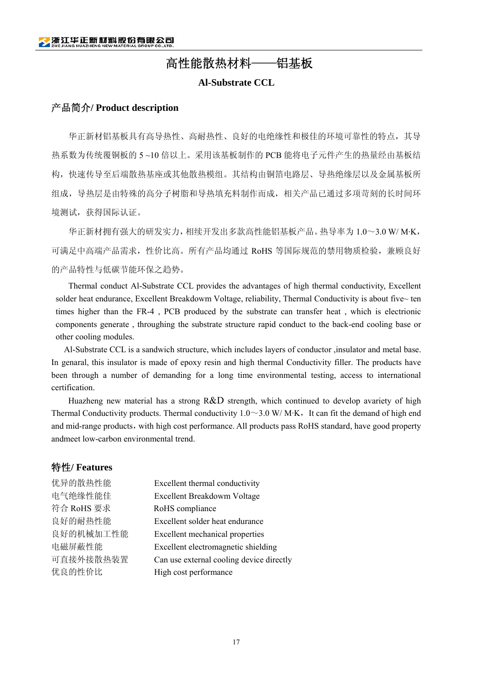# 高性能散热材料——铝基板

### **Al-Substrate CCL**

## 产品简介**/ Product description**

华正新材铝基板具有高导热性、高耐热性、良好的电绝缘性和极佳的环境可靠性的特点,其导 热系数为传统覆铜板的 5 ~10 倍以上。采用该基板制作的 PCB 能将电子元件产生的热量经由基板结 构,快速传导至后端散热基座或其他散热模组。其结构由铜箔电路层、导热绝缘层以及金属基板所 组成,导热层是由特殊的高分子树脂和导热填充料制作而成,相关产品已通过多项苛刻的长时间环 境测试,获得国际认证。

 华正新材拥有强大的研发实力,相续开发出多款高性能铝基板产品。热导率为 1.0~3.0 W/ M·K, 可满足中高端产品需求,性价比高。所有产品均通过 RoHS 等国际规范的禁用物质检验,兼顾良好 的产品特性与低碳节能环保之趋势。

Thermal conduct Al-Substrate CCL provides the advantages of high thermal conductivity, Excellent solder heat endurance, Excellent Breakdowm Voltage, reliability, Thermal Conductivity is about five~ ten times higher than the FR-4 , PCB produced by the substrate can transfer heat , which is electrionic components generate , throughing the substrate structure rapid conduct to the back-end cooling base or other cooling modules.

Al-Substrate CCL is a sandwich structure, which includes layers of conductor ,insulator and metal base. In genaral, this insulator is made of epoxy resin and high thermal Conductivity filler. The products have been through a number of demanding for a long time environmental testing, access to international certification.

 Huazheng new material has a strong R&D strength, which continued to develop avariety of high Thermal Conductivity products. Thermal conductivity  $1.0 \sim 3.0$  W/M·K, It can fit the demand of high end and mid-range products, with high cost performance. All products pass RoHS standard, have good property andmeet low-carbon environmental trend.

## 特性**/ Features**

| Excellent thermal conductivity           |
|------------------------------------------|
| Excellent Breakdowm Voltage              |
| RoHS compliance                          |
| Excellent solder heat endurance          |
| Excellent mechanical properties          |
| Excellent electromagnetic shielding      |
| Can use external cooling device directly |
| High cost performance                    |
|                                          |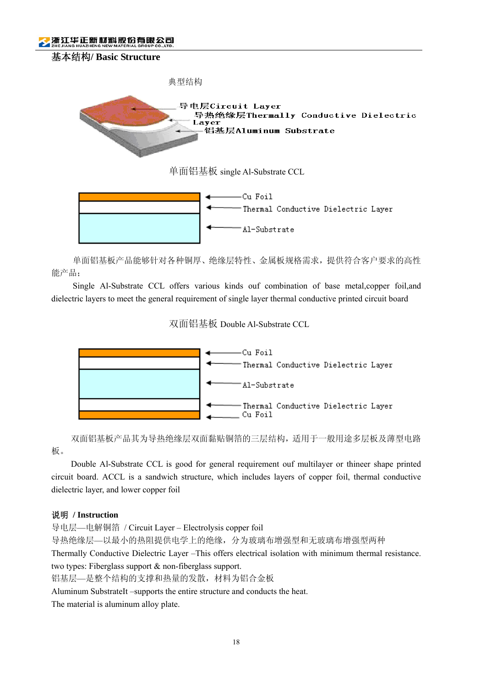浙江华正新材料股份有限公司





单面铝基板产品能够针对各种铜厚、绝缘层特性、金属板规格需求,提供符合客户要求的高性 能产品;

Single Al-Substrate CCL offers various kinds ouf combination of base metal,copper foil,and dielectric layers to meet the general requirement of single layer thermal conductive printed circuit board

## 双面铝基板 Double Al-Substrate CCL



双面铝基板产品其为导热绝缘层双面黏贴铜箔的三层结构,适用于一般用途多层板及薄型电路

板。

Double Al-Substrate CCL is good for general requirement ouf multilayer or thineer shape printed circuit board. ACCL is a sandwich structure, which includes layers of copper foil, thermal conductive dielectric layer, and lower copper foil

#### 说明 **/ Instruction**

导电层—电解铜箔 / Circuit Layer – Electrolysis copper foil

导热绝缘层—以最小的热阻提供电学上的绝缘,分为玻璃布增强型和无玻璃布增强型两种

Thermally Conductive Dielectric Layer –This offers electrical isolation with minimum thermal resistance. two types: Fiberglass support & non-fiberglass support.

铝基层—是整个结构的支撑和热量的发散,材料为铝合金板

Aluminum SubstrateIt –supports the entire structure and conducts the heat.

The material is aluminum alloy plate.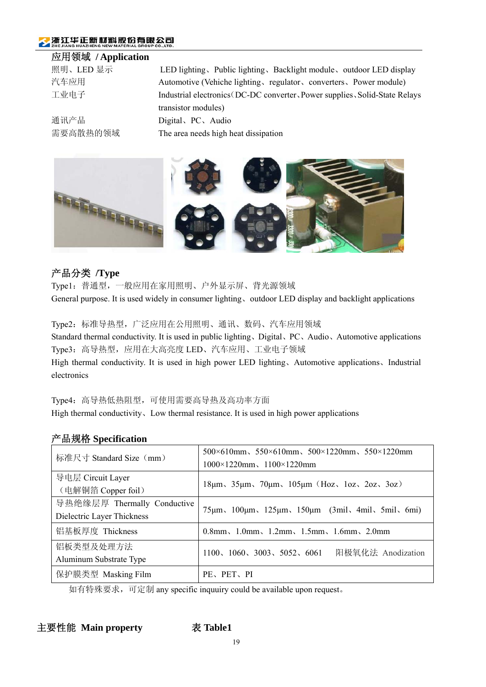# 浙江华正新材料股份有限公司

# 应用领域 **/ Application**

| для ух эх и <b>другили</b> ши |                                                                             |
|-------------------------------|-----------------------------------------------------------------------------|
| 照明、LED 显示                     | LED lighting, Public lighting, Backlight module, outdoor LED display        |
| 汽车应用                          | Automotive (Vehiche lighting, regulator, converters, Power module)          |
| 工业电子                          | Industrial electronics (DC-DC converter, Power supplies, Solid-State Relays |
|                               | transistor modules)                                                         |
| 通讯产品                          | Digital, PC, Audio                                                          |
| 需要高散热的领域                      | The area needs high heat dissipation                                        |



# 产品分类 **/Type**

Type1:普通型,一般应用在家用照明、户外显示屏、背光源领域 General purpose. It is used widely in consumer lighting、outdoor LED display and backlight applications

Type2:标准导热型,广泛应用在公用照明、通讯、数码、汽车应用领域 Standard thermal conductivity. It is used in public lighting、Digital、PC、Audio、Automotive applications Type3:高导热型,应用在大高亮度 LED、汽车应用、工业电子领域 High thermal conductivity. It is used in high power LED lighting、Automotive applications、Industrial electronics

Type4:高导热低热阻型,可使用需要高导热及高功率方面 High thermal conductivity. Low thermal resistance. It is used in high power applications

# 产品规格 **Specification**

| 标准尺寸 Standard Size (mm)                                   | $500\times610$ mm, $550\times610$ mm, $500\times1220$ mm, $550\times1220$ mm<br>$1000 \times 1220$ mm, $1100 \times 1220$ mm |
|-----------------------------------------------------------|------------------------------------------------------------------------------------------------------------------------------|
| 导电层 Circuit Layer<br>(电解铜箔 Copper foil)                   | $18\mu m$ , $35\mu m$ , $70\mu m$ , $105\mu m$ (Hoz, $1oz$ , $2oz$ , $3oz$ )                                                 |
| 导热绝缘层厚 Thermally Conductive<br>Dielectric Layer Thickness | 75μm, 100μm, 125μm, 150μm (3mil, 4mil, 5mil, 6mi)                                                                            |
| 铝基板厚度 Thickness                                           | $0.8$ mm, $1.0$ mm, $1.2$ mm, $1.5$ mm, $1.6$ mm, $2.0$ mm                                                                   |
| 铝板类型及处理方法<br>Aluminum Substrate Type                      | 阳极氧化法 Anodization<br>1100, 1060, 3003, 5052, 6061                                                                            |
| 保护膜类型 Masking Film                                        | PE、PET、PI                                                                                                                    |

如有特殊要求,可定制 any specific inquuiry could be available upon request。

主要性能 Main property **2000 表 Table1**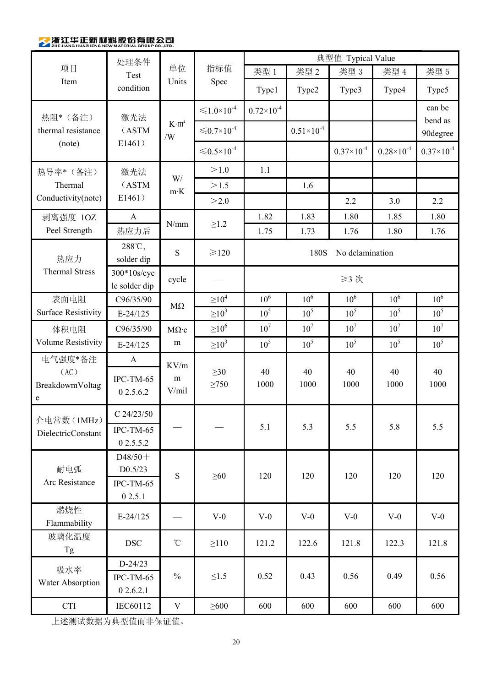# 参浙江华正新材料股份有限公司

|                                         | 处理条件                         |                                                                                                                                                                                                                                                                                                                                                                                                                         |                                        |                         |                     |                     |                       | 典型值 Typical Value   |  |  |
|-----------------------------------------|------------------------------|-------------------------------------------------------------------------------------------------------------------------------------------------------------------------------------------------------------------------------------------------------------------------------------------------------------------------------------------------------------------------------------------------------------------------|----------------------------------------|-------------------------|---------------------|---------------------|-----------------------|---------------------|--|--|
| 项目                                      | Test                         | 单位                                                                                                                                                                                                                                                                                                                                                                                                                      | 指标值                                    | 类型 1                    | 类型 2                | 类型 3                | 类型 4                  | 类型 5                |  |  |
| Item                                    | condition                    |                                                                                                                                                                                                                                                                                                                                                                                                                         | Units<br>Spec                          | Type1                   | Type2               | Type3               | Type4                 | Type5               |  |  |
| 热阻*(备注)<br>thermal resistance<br>(note) | 激光法                          | $K \cdot m^2$<br>/W                                                                                                                                                                                                                                                                                                                                                                                                     | $\leq 1.0 \times 10^{-4}$              | $0.72\times10^{-4}$     |                     |                     |                       | can be<br>bend as   |  |  |
|                                         | (ASTM                        |                                                                                                                                                                                                                                                                                                                                                                                                                         | $\leqslant$ 0.7×10 <sup>-4</sup>       |                         | $0.51\times10^{-4}$ |                     |                       | 90degree            |  |  |
|                                         | E1461)                       |                                                                                                                                                                                                                                                                                                                                                                                                                         | ${\leqslant}0.5{\times}10^{\text{-}4}$ |                         |                     | $0.37\times10^{-4}$ | $0.28 \times 10^{-4}$ | $0.37\times10^{-4}$ |  |  |
| 热导率*(备注)                                | 激光法                          | $\mathbf{W}/% \mathbf{W}/\mathbf{W}/\mathbf{W}/\mathbf{W}/\mathbf{W}/\mathbf{W}/\mathbf{W}/\mathbf{W}/\mathbf{W}/\mathbf{W}/\mathbf{W}/\mathbf{W}/\mathbf{W}/\mathbf{W}/\mathbf{W}/\mathbf{W}/\mathbf{W}/\mathbf{W}/\mathbf{W}/\mathbf{W}/\mathbf{W}/\mathbf{W}/\mathbf{W}/\mathbf{W}/\mathbf{W}/\mathbf{W}/\mathbf{W}/\mathbf{W}/\mathbf{W}/\mathbf{W}/\mathbf{W}/\mathbf{W}/\mathbf{W}/\mathbf{W}/\mathbf{W}/\mathbf$ | >1.0                                   | 1.1                     |                     |                     |                       |                     |  |  |
| Thermal                                 | (ASTM                        | $m$ <sup>-</sup> K                                                                                                                                                                                                                                                                                                                                                                                                      | >1.5                                   |                         | 1.6                 |                     |                       |                     |  |  |
| Conductivity(note)                      | E1461)                       |                                                                                                                                                                                                                                                                                                                                                                                                                         | >2.0                                   |                         |                     | 2.2                 | 3.0                   | 2.2                 |  |  |
| 剥离强度 1OZ                                | $\boldsymbol{\rm{A}}$        | N/mm                                                                                                                                                                                                                                                                                                                                                                                                                    |                                        | 1.82                    | 1.83                | 1.80                | 1.85                  | 1.80                |  |  |
| Peel Strength                           | 热应力后                         |                                                                                                                                                                                                                                                                                                                                                                                                                         | $\geq1.2$                              | 1.75                    | 1.73                | 1.76                | 1.80                  | 1.76                |  |  |
| 热应力                                     | 288°C,<br>solder dip         | ${\bf S}$                                                                                                                                                                                                                                                                                                                                                                                                               | $\geq 120$                             | No delamination<br>180S |                     |                     |                       |                     |  |  |
| <b>Thermal Stress</b>                   | 300*10s/cyc<br>le solder dip | cycle                                                                                                                                                                                                                                                                                                                                                                                                                   |                                        |                         |                     | ≥3次                 |                       |                     |  |  |
| 表面电阻                                    | C96/35/90                    | $M\Omega$                                                                                                                                                                                                                                                                                                                                                                                                               | $\geq$ 10 <sup>4</sup>                 | 10 <sup>6</sup>         | 10 <sup>6</sup>     | 10 <sup>6</sup>     | 10 <sup>6</sup>       | 10 <sup>6</sup>     |  |  |
| <b>Surface Resistivity</b>              | $E-24/125$                   |                                                                                                                                                                                                                                                                                                                                                                                                                         | $\geq 10^{3}$                          | 10 <sup>5</sup>         | 10 <sup>5</sup>     | 10 <sup>5</sup>     | 10 <sup>5</sup>       | 10 <sup>5</sup>     |  |  |
| 体积电阻                                    | C96/35/90                    | $M\Omega$ .c                                                                                                                                                                                                                                                                                                                                                                                                            | $\geq$ 10 <sup>6</sup>                 | 10 <sup>7</sup>         | 10 <sup>7</sup>     | 10 <sup>7</sup>     | 10 <sup>7</sup>       | $10^7\,$            |  |  |
| Volume Resistivity                      | $E-24/125$                   | m                                                                                                                                                                                                                                                                                                                                                                                                                       | $\geq 10^3$                            | 10 <sup>5</sup>         | 10 <sup>5</sup>     | 10 <sup>5</sup>     | 10 <sup>5</sup>       | $10^5\,$            |  |  |
| 电气强度*备注                                 | $\mathbf{A}$                 | KV/m                                                                                                                                                                                                                                                                                                                                                                                                                    |                                        |                         |                     |                     |                       |                     |  |  |
| (AC)<br>BreakdowmVoltag<br>e            | IPC-TM-65<br>0 2.5.6.2       | m<br>V/mil                                                                                                                                                                                                                                                                                                                                                                                                              | $\geq 30$<br>$\geq 750$                | 40<br>1000              | 40<br>1000          | 40<br>1000          | 40<br>1000            | 40<br>1000          |  |  |
| 介电常数 (1MHz)                             | $C$ 24/23/50                 |                                                                                                                                                                                                                                                                                                                                                                                                                         |                                        |                         |                     |                     |                       |                     |  |  |
| DielectricConstant                      | IPC-TM-65<br>0 2.5.5.2       |                                                                                                                                                                                                                                                                                                                                                                                                                         |                                        | 5.1                     | 5.3                 | 5.5                 | 5.8                   | 5.5                 |  |  |
| 耐电弧<br>Arc Resistance                   | $D48/50+$<br>D0.5/23         |                                                                                                                                                                                                                                                                                                                                                                                                                         |                                        |                         |                     |                     |                       |                     |  |  |
|                                         | S<br>IPC-TM-65<br>0 2.5.1    |                                                                                                                                                                                                                                                                                                                                                                                                                         | $\geq 60$                              | 120                     | 120                 | 120                 | 120                   | 120                 |  |  |
| 燃烧性<br>Flammability                     | $E-24/125$                   |                                                                                                                                                                                                                                                                                                                                                                                                                         | $V-0$                                  | $V-0$                   | $V-0$               | $V-0$               | $V-0$                 | $V-0$               |  |  |
| 玻璃化温度<br>Tg                             | <b>DSC</b>                   | $^\circ\!{\rm C}$                                                                                                                                                                                                                                                                                                                                                                                                       | $\geq$ 110                             | 121.2                   | 122.6               | 121.8               | 122.3                 | 121.8               |  |  |
| 吸水率<br>Water Absorption                 | $D-24/23$                    |                                                                                                                                                                                                                                                                                                                                                                                                                         |                                        |                         |                     |                     |                       |                     |  |  |
|                                         | IPC-TM-65<br>02.6.2.1        | $\frac{0}{0}$                                                                                                                                                                                                                                                                                                                                                                                                           | $\leq1.5$                              | 0.52                    | 0.43                | 0.56                | 0.49                  | 0.56                |  |  |
| <b>CTI</b>                              | IEC60112                     | V                                                                                                                                                                                                                                                                                                                                                                                                                       | $\geq 600$                             | 600                     | 600                 | 600                 | 600                   | 600                 |  |  |

上述测试数据为典型值而非保证值。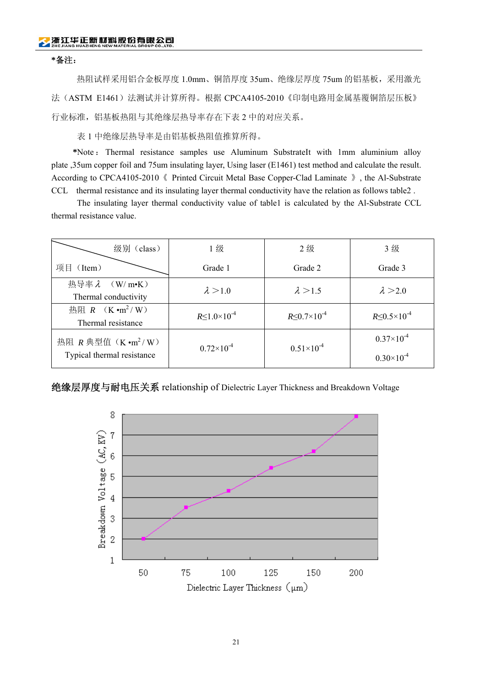#### **\***备注:

热阻试样采用铝合金板厚度 1.0mm、铜箔厚度 35um、绝缘层厚度 75um 的铝基板,采用激光 法(ASTM E1461)法测试并计算所得。根据 CPCA4105-2010《印制电路用金属基覆铜箔层压板》 行业标准,铝基板热阻与其绝缘层热导率存在下表 2 中的对应关系。

表 1 中绝缘层热导率是由铝基板热阻值推算所得。

**\***Note : Thermal resistance samples use Aluminum SubstrateIt with 1mm aluminium alloy plate ,35um copper foil and 75um insulating layer, Using laser (E1461) test method and calculate the result. According to CPCA4105-2010《 Printed Circuit Metal Base Copper-Clad Laminate 》, the Al-Substrate CCL thermal resistance and its insulating layer thermal conductivity have the relation as follows table2 .

The insulating layer thermal conductivity value of table1 is calculated by the Al-Substrate CCL thermal resistance value.

| 级别 (class)                                                 | 1级                         | 2级                         | 3级                                         |
|------------------------------------------------------------|----------------------------|----------------------------|--------------------------------------------|
| 项目 (Item)                                                  | Grade 1                    | Grade 2                    | Grade 3                                    |
| 热导率 $\lambda$ (W/m•K)<br>Thermal conductivity              | $\lambda > 1.0$            | $\lambda > 1.5$            | $\lambda > 2.0$                            |
| 热阻 $R$ (K · m <sup>2</sup> /W)<br>Thermal resistance       | $R \le 1.0 \times 10^{-4}$ | $R \le 0.7 \times 10^{-4}$ | $R \le 0.5 \times 10^{-4}$                 |
| 热阻 $R$ 典型值 $(K \cdot m^2/W)$<br>Typical thermal resistance | $0.72\times10^{-4}$        | $0.51\times10^{-4}$        | $0.37\times10^{-4}$<br>$0.30\times10^{-4}$ |

绝缘层厚度与耐电压关系 relationship of Dielectric Layer Thickness and Breakdown Voltage